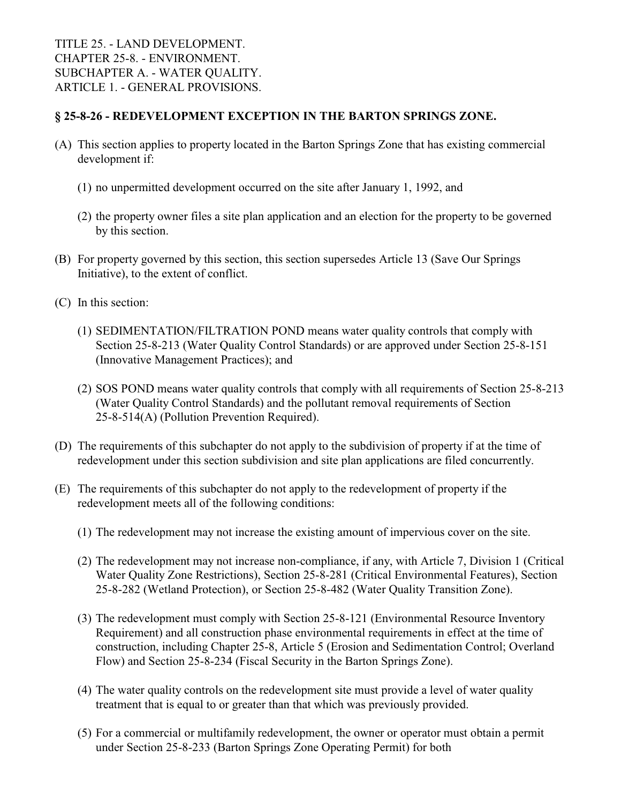## **§ 25-8-26 - REDEVELOPMENT EXCEPTION IN THE BARTON SPRINGS ZONE.**

- (A) This section applies to property located in the Barton Springs Zone that has existing commercial development if:
	- (1) no unpermitted development occurred on the site after January 1, 1992, and
	- (2) the property owner files a site plan application and an election for the property to be governed by this section.
- (B) For property governed by this section, this section supersedes Article 13 (Save Our Springs Initiative), to the extent of conflict.
- (C) In this section:
	- (1) SEDIMENTATION/FILTRATION POND means water quality controls that comply with Section 25-8-213 (Water Quality Control Standards) or are approved under Section 25-8-151 (Innovative Management Practices); and
	- (2) SOS POND means water quality controls that comply with all requirements of Section 25-8-213 (Water Quality Control Standards) and the pollutant removal requirements of Section 25-8-514(A) (Pollution Prevention Required).
- (D) The requirements of this subchapter do not apply to the subdivision of property if at the time of redevelopment under this section subdivision and site plan applications are filed concurrently.
- (E) The requirements of this subchapter do not apply to the redevelopment of property if the redevelopment meets all of the following conditions:
	- (1) The redevelopment may not increase the existing amount of impervious cover on the site.
	- (2) The redevelopment may not increase non-compliance, if any, with Article 7, Division 1 (Critical Water Quality Zone Restrictions), Section 25-8-281 (Critical Environmental Features), Section 25-8-282 (Wetland Protection), or Section 25-8-482 (Water Quality Transition Zone).
	- (3) The redevelopment must comply with Section 25-8-121 (Environmental Resource Inventory Requirement) and all construction phase environmental requirements in effect at the time of construction, including Chapter 25-8, Article 5 (Erosion and Sedimentation Control; Overland Flow) and Section 25-8-234 (Fiscal Security in the Barton Springs Zone).
	- (4) The water quality controls on the redevelopment site must provide a level of water quality treatment that is equal to or greater than that which was previously provided.
	- (5) For a commercial or multifamily redevelopment, the owner or operator must obtain a permit under Section 25-8-233 (Barton Springs Zone Operating Permit) for both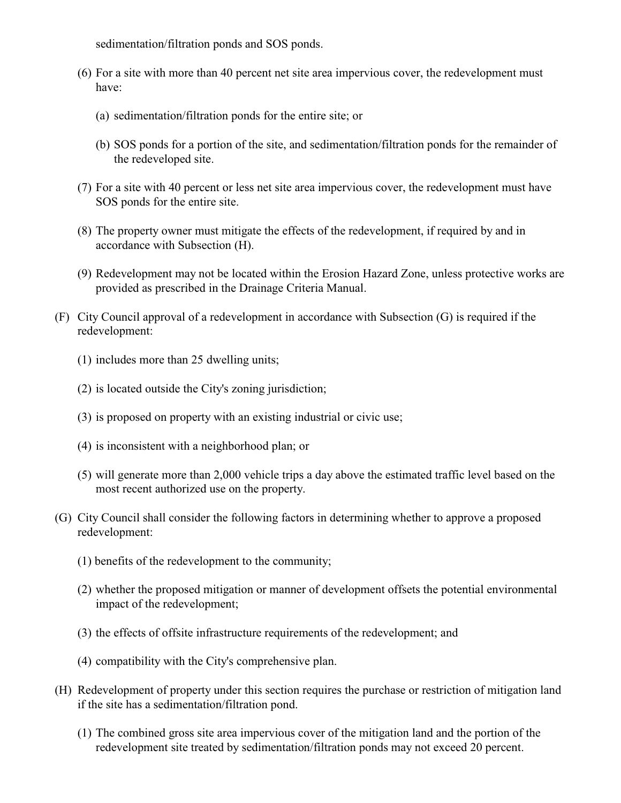sedimentation/filtration ponds and SOS ponds.

- (6) For a site with more than 40 percent net site area impervious cover, the redevelopment must have:
	- (a) sedimentation/filtration ponds for the entire site; or
	- (b) SOS ponds for a portion of the site, and sedimentation/filtration ponds for the remainder of the redeveloped site.
- (7) For a site with 40 percent or less net site area impervious cover, the redevelopment must have SOS ponds for the entire site.
- (8) The property owner must mitigate the effects of the redevelopment, if required by and in accordance with Subsection (H).
- (9) Redevelopment may not be located within the Erosion Hazard Zone, unless protective works are provided as prescribed in the Drainage Criteria Manual.
- (F) City Council approval of a redevelopment in accordance with Subsection (G) is required if the redevelopment:
	- (1) includes more than 25 dwelling units;
	- (2) is located outside the City's zoning jurisdiction;
	- (3) is proposed on property with an existing industrial or civic use;
	- (4) is inconsistent with a neighborhood plan; or
	- (5) will generate more than 2,000 vehicle trips a day above the estimated traffic level based on the most recent authorized use on the property.
- (G) City Council shall consider the following factors in determining whether to approve a proposed redevelopment:
	- (1) benefits of the redevelopment to the community;
	- (2) whether the proposed mitigation or manner of development offsets the potential environmental impact of the redevelopment;
	- (3) the effects of offsite infrastructure requirements of the redevelopment; and
	- (4) compatibility with the City's comprehensive plan.
- (H) Redevelopment of property under this section requires the purchase or restriction of mitigation land if the site has a sedimentation/filtration pond.
	- (1) The combined gross site area impervious cover of the mitigation land and the portion of the redevelopment site treated by sedimentation/filtration ponds may not exceed 20 percent.